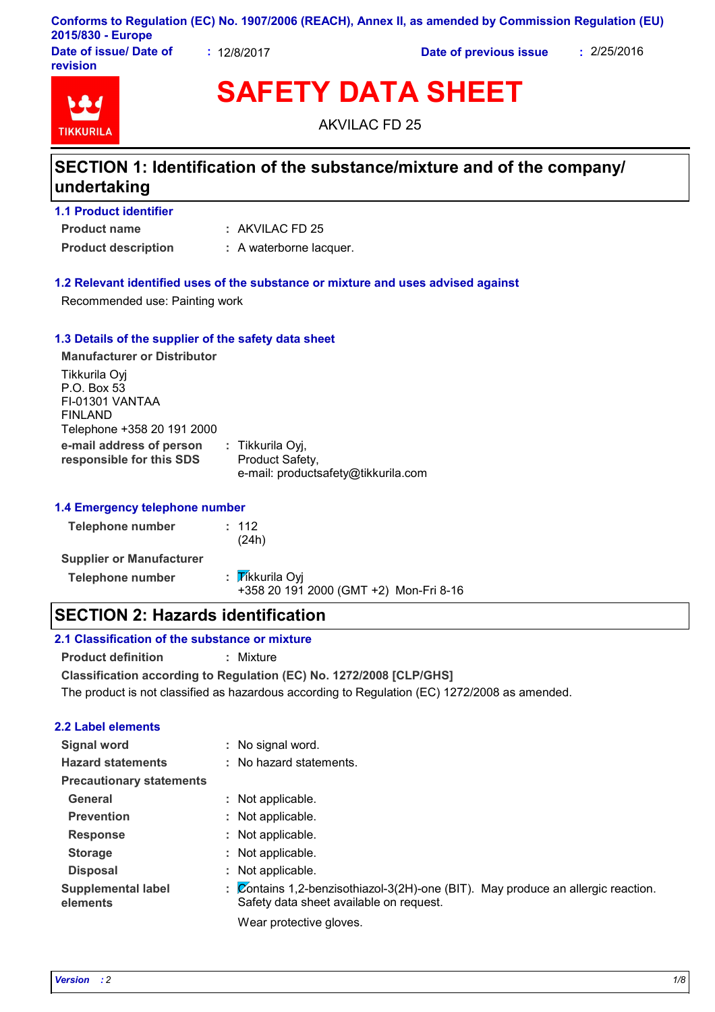#### **Conforms to Regulation (EC) No. 1907/2006 (REACH), Annex II, as amended by Commission Regulation (EU) 2015/830 - Europe**

**Date of issue/ Date of revision**

**:** 12/8/2017 **Date of previous issue :** 2/25/2016



# **SAFETY DATA SHEET**

AKVILAC FD 25

# **SECTION 1: Identification of the substance/mixture and of the company/ undertaking**

| <b>1.1 Product identifier</b> |                         |
|-------------------------------|-------------------------|
| <b>Product name</b>           | $:$ AKVILAC FD 25       |
| <b>Product description</b>    | : A waterborne lacquer. |

#### **1.2 Relevant identified uses of the substance or mixture and uses advised against**

Recommended use: Painting work

#### **1.3 Details of the supplier of the safety data sheet**

| <b>Manufacturer or Distributor</b>                                                       |                                                                            |
|------------------------------------------------------------------------------------------|----------------------------------------------------------------------------|
| Tikkurila Oyj<br>P.O. Box 53<br>FI-01301 VANTAA<br>FINLAND<br>Telephone +358 20 191 2000 |                                                                            |
| e-mail address of person<br>responsible for this SDS                                     | : Tikkurila Oyj,<br>Product Safety,<br>e-mail: productsafety@tikkurila.com |

#### **1.4 Emergency telephone number**

| <b>Telephone number</b>         | : 112<br>(24h)                                            |
|---------------------------------|-----------------------------------------------------------|
| <b>Supplier or Manufacturer</b> |                                                           |
| <b>Telephone number</b>         | : Tikkurila Oyi<br>+358 20 191 2000 (GMT +2) Mon-Fri 8-16 |

# **SECTION 2: Hazards identification**

#### **2.1 Classification of the substance or mixture**

**Product definition :** Mixture

**Classification according to Regulation (EC) No. 1272/2008 [CLP/GHS]**

The product is not classified as hazardous according to Regulation (EC) 1272/2008 as amended.

#### **2.2 Label elements**

| <b>Signal word</b>                    | : No signal word.                                                                                                                                   |
|---------------------------------------|-----------------------------------------------------------------------------------------------------------------------------------------------------|
| <b>Hazard statements</b>              | : No hazard statements.                                                                                                                             |
| <b>Precautionary statements</b>       |                                                                                                                                                     |
| General                               | : Not applicable.                                                                                                                                   |
| <b>Prevention</b>                     | : Not applicable.                                                                                                                                   |
| <b>Response</b>                       | : Not applicable.                                                                                                                                   |
| <b>Storage</b>                        | : Not applicable.                                                                                                                                   |
| <b>Disposal</b>                       | : Not applicable.                                                                                                                                   |
| <b>Supplemental label</b><br>elements | : $\overline{\mathcal{Q}}$ ontains 1,2-benzisothiazol-3(2H)-one (BIT). May produce an allergic reaction.<br>Safety data sheet available on request. |
|                                       |                                                                                                                                                     |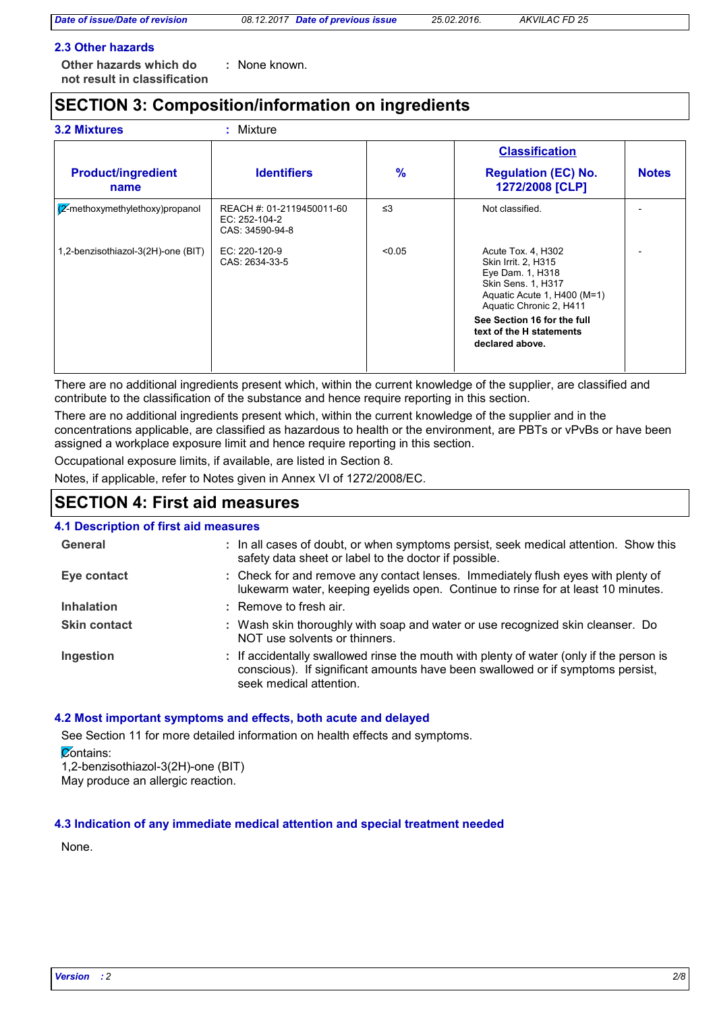#### **2.3 Other hazards**

**Other hazards which do : not result in classification** None known.

# **SECTION 3: Composition/information on ingredients**

|                                     |                                                               |          | <b>Classification</b>                                                                                                                                |              |
|-------------------------------------|---------------------------------------------------------------|----------|------------------------------------------------------------------------------------------------------------------------------------------------------|--------------|
| <b>Product/ingredient</b><br>name   | <b>Identifiers</b>                                            | %        | <b>Regulation (EC) No.</b><br>1272/2008 [CLP]                                                                                                        | <b>Notes</b> |
| $(2)$ -methoxymethylethoxy)propanol | REACH #: 01-2119450011-60<br>EC: 252-104-2<br>CAS: 34590-94-8 | $\leq$ 3 | Not classified.                                                                                                                                      |              |
| 1,2-benzisothiazol-3(2H)-one (BIT)  | EC: 220-120-9<br>CAS: 2634-33-5                               | < 0.05   | Acute Tox. 4, H302<br>Skin Irrit. 2, H315<br>Eye Dam. 1, H318<br><b>Skin Sens. 1, H317</b><br>Aquatic Acute 1, H400 (M=1)<br>Aquatic Chronic 2, H411 |              |
|                                     |                                                               |          | See Section 16 for the full<br>text of the H statements<br>declared above.                                                                           |              |

There are no additional ingredients present which, within the current knowledge of the supplier, are classified and contribute to the classification of the substance and hence require reporting in this section.

There are no additional ingredients present which, within the current knowledge of the supplier and in the concentrations applicable, are classified as hazardous to health or the environment, are PBTs or vPvBs or have been assigned a workplace exposure limit and hence require reporting in this section.

Occupational exposure limits, if available, are listed in Section 8.

Notes, if applicable, refer to Notes given in Annex VI of 1272/2008/EC.

### **SECTION 4: First aid measures**

#### **4.1 Description of first aid measures**

| General             | : In all cases of doubt, or when symptoms persist, seek medical attention. Show this<br>safety data sheet or label to the doctor if possible.                                                        |
|---------------------|------------------------------------------------------------------------------------------------------------------------------------------------------------------------------------------------------|
| Eye contact         | : Check for and remove any contact lenses. Immediately flush eyes with plenty of<br>lukewarm water, keeping eyelids open. Continue to rinse for at least 10 minutes.                                 |
| <b>Inhalation</b>   | $:$ Remove to fresh air.                                                                                                                                                                             |
| <b>Skin contact</b> | : Wash skin thoroughly with soap and water or use recognized skin cleanser. Do<br>NOT use solvents or thinners.                                                                                      |
| Ingestion           | : If accidentally swallowed rinse the mouth with plenty of water (only if the person is<br>conscious). If significant amounts have been swallowed or if symptoms persist,<br>seek medical attention. |

#### **4.2 Most important symptoms and effects, both acute and delayed**

See Section 11 for more detailed information on health effects and symptoms. **Zontains:** 1,2-benzisothiazol-3(2H)-one (BIT) May produce an allergic reaction.

#### **4.3 Indication of any immediate medical attention and special treatment needed**

None.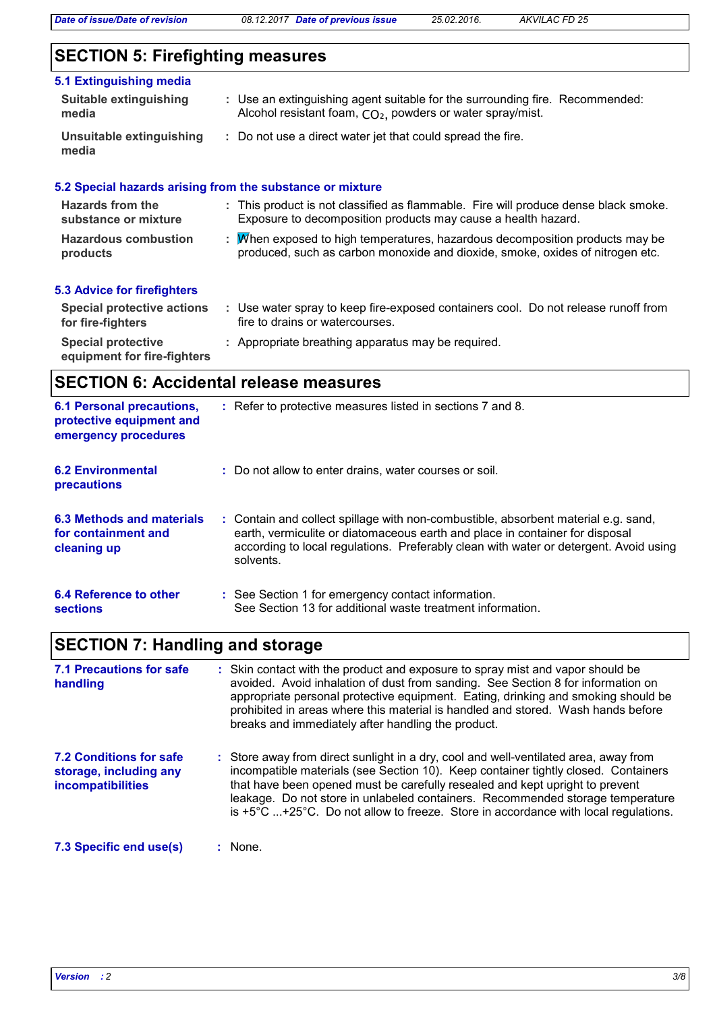*Date of issue/Date of revision 08.12.2017 Date of previous issue 25.02.2016. AKVILAC FD 25*

# **SECTION 5: Firefighting measures**

### **5.1 Extinguishing media**

| Suitable extinguishing<br>media   | : Use an extinguishing agent suitable for the surrounding fire. Recommended:<br>Alcohol resistant foam, CO <sub>2</sub> , powders or water spray/mist. |
|-----------------------------------|--------------------------------------------------------------------------------------------------------------------------------------------------------|
| Unsuitable extinguishing<br>media | : Do not use a direct water jet that could spread the fire.                                                                                            |
|                                   | 5.2 Special hazards arising from the substance or mixture                                                                                              |

| <b>Hazards from the</b>     | : This product is not classified as flammable. Fire will produce dense black smoke. |
|-----------------------------|-------------------------------------------------------------------------------------|
| substance or mixture        | Exposure to decomposition products may cause a health hazard.                       |
| <b>Hazardous combustion</b> | : M/hen exposed to high temperatures, hazardous decomposition products may be       |
| products                    | produced, such as carbon monoxide and dioxide, smoke, oxides of nitrogen etc.       |
|                             |                                                                                     |

# **5.3 Advice for firefighters**

| <b>Special protective actions</b><br>for fire-fighters   | Use water spray to keep fire-exposed containers cool. Do not release runoff from<br>fire to drains or watercourses. |
|----------------------------------------------------------|---------------------------------------------------------------------------------------------------------------------|
| <b>Special protective</b><br>equipment for fire-fighters | : Appropriate breathing apparatus may be required.                                                                  |

# **SECTION 6: Accidental release measures**

| <b>6.1 Personal precautions,</b><br>protective equipment and<br>emergency procedures | : Refer to protective measures listed in sections 7 and 8.                                                                                                                                                                                                               |
|--------------------------------------------------------------------------------------|--------------------------------------------------------------------------------------------------------------------------------------------------------------------------------------------------------------------------------------------------------------------------|
| <b>6.2 Environmental</b><br><b>precautions</b>                                       | : Do not allow to enter drains, water courses or soil.                                                                                                                                                                                                                   |
| 6.3 Methods and materials<br>for containment and<br>cleaning up                      | : Contain and collect spillage with non-combustible, absorbent material e.g. sand,<br>earth, vermiculite or diatomaceous earth and place in container for disposal<br>according to local regulations. Preferably clean with water or detergent. Avoid using<br>solvents. |
| 6.4 Reference to other<br>sections                                                   | : See Section 1 for emergency contact information.<br>See Section 13 for additional waste treatment information.                                                                                                                                                         |

# **SECTION 7: Handling and storage**

| 7.1 Precautions for safe<br>handling                                                 | : Skin contact with the product and exposure to spray mist and vapor should be<br>avoided. Avoid inhalation of dust from sanding. See Section 8 for information on<br>appropriate personal protective equipment. Eating, drinking and smoking should be<br>prohibited in areas where this material is handled and stored. Wash hands before<br>breaks and immediately after handling the product.                                                      |
|--------------------------------------------------------------------------------------|--------------------------------------------------------------------------------------------------------------------------------------------------------------------------------------------------------------------------------------------------------------------------------------------------------------------------------------------------------------------------------------------------------------------------------------------------------|
| <b>7.2 Conditions for safe</b><br>storage, including any<br><b>incompatibilities</b> | : Store away from direct sunlight in a dry, cool and well-ventilated area, away from<br>incompatible materials (see Section 10). Keep container tightly closed. Containers<br>that have been opened must be carefully resealed and kept upright to prevent<br>leakage. Do not store in unlabeled containers. Recommended storage temperature<br>is $+5^{\circ}$ C $+25^{\circ}$ C. Do not allow to freeze. Store in accordance with local regulations. |
| 7.3 Specific end use(s)                                                              | : None.                                                                                                                                                                                                                                                                                                                                                                                                                                                |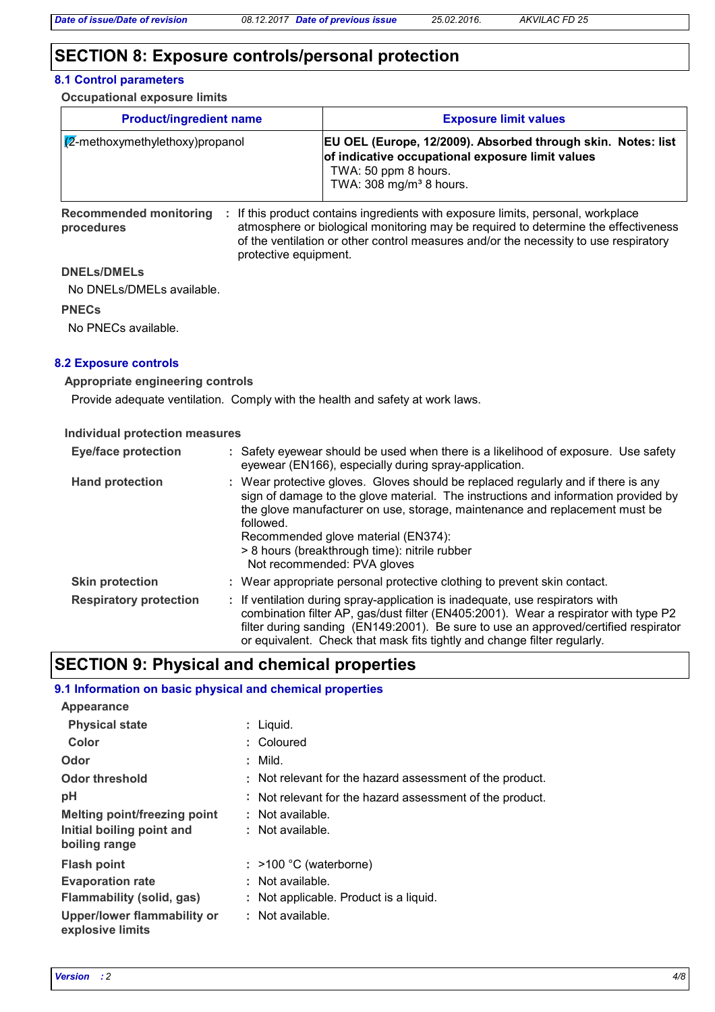# **SECTION 8: Exposure controls/personal protection**

#### **8.1 Control parameters**

**Occupational exposure limits**

| <b>Product/ingredient name</b>     | <b>Exposure limit values</b>                                                                                                                                                           |
|------------------------------------|----------------------------------------------------------------------------------------------------------------------------------------------------------------------------------------|
| $ Z$ -methoxymethylethoxy)propanol | <b>EU OEL (Europe, 12/2009). Absorbed through skin. Notes: list</b><br>of indicative occupational exposure limit values<br>TWA: 50 ppm 8 hours.<br>TWA: 308 mg/m <sup>3</sup> 8 hours. |

Recommended monitoring : If this product contains ingredients with exposure limits, personal, workplace **procedures** atmosphere or biological monitoring may be required to determine the effectiveness of the ventilation or other control measures and/or the necessity to use respiratory protective equipment.

#### **DNELs/DMELs**

No DNELs/DMELs available.

#### **PNECs**

No PNECs available.

#### **8.2 Exposure controls**

#### **Appropriate engineering controls**

Provide adequate ventilation. Comply with the health and safety at work laws.

#### **Individual protection measures**

| <b>Eye/face protection</b>    | : Safety eyewear should be used when there is a likelihood of exposure. Use safety<br>eyewear (EN166), especially during spray-application.                                                                                                                                                                                                                                                |
|-------------------------------|--------------------------------------------------------------------------------------------------------------------------------------------------------------------------------------------------------------------------------------------------------------------------------------------------------------------------------------------------------------------------------------------|
| <b>Hand protection</b>        | : Wear protective gloves. Gloves should be replaced regularly and if there is any<br>sign of damage to the glove material. The instructions and information provided by<br>the glove manufacturer on use, storage, maintenance and replacement must be<br>followed.<br>Recommended glove material (EN374):<br>> 8 hours (breakthrough time): nitrile rubber<br>Not recommended: PVA gloves |
| <b>Skin protection</b>        | : Wear appropriate personal protective clothing to prevent skin contact.                                                                                                                                                                                                                                                                                                                   |
| <b>Respiratory protection</b> | : If ventilation during spray-application is inadequate, use respirators with<br>combination filter AP, gas/dust filter (EN405:2001). Wear a respirator with type P2<br>filter during sanding (EN149:2001). Be sure to use an approved/certified respirator<br>or equivalent. Check that mask fits tightly and change filter regularly.                                                    |

# **SECTION 9: Physical and chemical properties**

#### **9.1 Information on basic physical and chemical properties**

| Appearance                                      |                                                          |
|-------------------------------------------------|----------------------------------------------------------|
| <b>Physical state</b>                           | : Liquid.                                                |
| Color                                           | : Coloured                                               |
| Odor                                            | $:$ Mild.                                                |
| Odor threshold                                  | : Not relevant for the hazard assessment of the product. |
| рH                                              | : Not relevant for the hazard assessment of the product. |
| <b>Melting point/freezing point</b>             | : Not available.                                         |
| Initial boiling point and<br>boiling range      | : Not available.                                         |
| <b>Flash point</b>                              | $:$ >100 °C (waterborne)                                 |
| <b>Evaporation rate</b>                         | : Not available.                                         |
| Flammability (solid, gas)                       | : Not applicable. Product is a liquid.                   |
| Upper/lower flammability or<br>explosive limits | : Not available.                                         |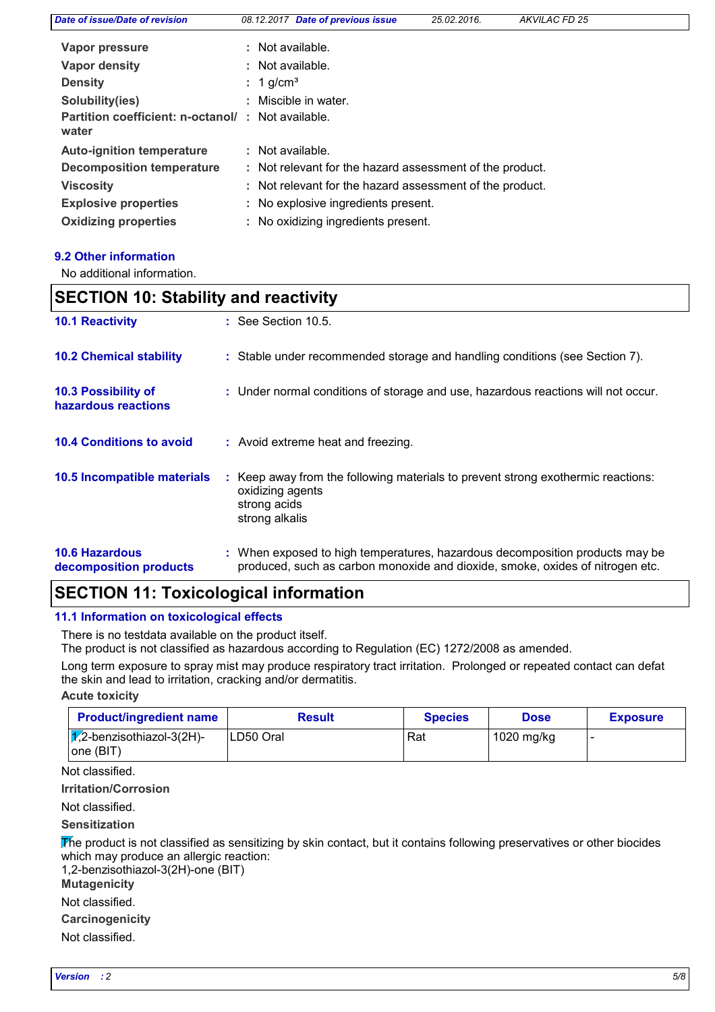| Date of issue/Date of revision              | 08.12.2017 Date of previous issue                        | 25.02.2016. | AKVILAC FD 25 |  |
|---------------------------------------------|----------------------------------------------------------|-------------|---------------|--|
| Vapor pressure                              | : Not available.                                         |             |               |  |
| Vapor density                               | : Not available.                                         |             |               |  |
| <b>Density</b>                              | $: 1$ g/cm <sup>3</sup>                                  |             |               |  |
| Solubility(ies)                             | : Miscible in water.                                     |             |               |  |
| Partition coefficient: n-octanol/:<br>water | Not available.                                           |             |               |  |
| <b>Auto-ignition temperature</b>            | : Not available.                                         |             |               |  |
| <b>Decomposition temperature</b>            | : Not relevant for the hazard assessment of the product. |             |               |  |
| <b>Viscosity</b>                            | : Not relevant for the hazard assessment of the product. |             |               |  |
| <b>Explosive properties</b>                 | : No explosive ingredients present.                      |             |               |  |
| <b>Oxidizing properties</b>                 | : No oxidizing ingredients present.                      |             |               |  |
|                                             |                                                          |             |               |  |

#### **9.2 Other information**

No additional information.

| <b>SECTION 10: Stability and reactivity</b>     |                                                                                                                                                               |  |
|-------------------------------------------------|---------------------------------------------------------------------------------------------------------------------------------------------------------------|--|
| <b>10.1 Reactivity</b>                          | $:$ See Section 10.5.                                                                                                                                         |  |
| <b>10.2 Chemical stability</b>                  | : Stable under recommended storage and handling conditions (see Section 7).                                                                                   |  |
| 10.3 Possibility of<br>hazardous reactions      | : Under normal conditions of storage and use, hazardous reactions will not occur.                                                                             |  |
| <b>10.4 Conditions to avoid</b>                 | : Avoid extreme heat and freezing.                                                                                                                            |  |
| 10.5 Incompatible materials                     | : Keep away from the following materials to prevent strong exothermic reactions:<br>oxidizing agents<br>strong acids<br>strong alkalis                        |  |
| <b>10.6 Hazardous</b><br>decomposition products | : When exposed to high temperatures, hazardous decomposition products may be<br>produced, such as carbon monoxide and dioxide, smoke, oxides of nitrogen etc. |  |

# **SECTION 11: Toxicological information**

#### **11.1 Information on toxicological effects**

There is no testdata available on the product itself.

The product is not classified as hazardous according to Regulation (EC) 1272/2008 as amended.

Long term exposure to spray mist may produce respiratory tract irritation. Prolonged or repeated contact can defat the skin and lead to irritation, cracking and/or dermatitis.

**Acute toxicity**

| <b>Product/ingredient name</b>                   | <b>Result</b> | <b>Species</b> | <b>Dose</b> | <b>Exposure</b> |
|--------------------------------------------------|---------------|----------------|-------------|-----------------|
| $\sqrt{1/2}$ -benzisothiazol-3(2H)-<br> one(BIT) | LD50 Oral     | Rat            | 1020 mg/kg  |                 |

Not classified.

**Irritation/Corrosion**

Not classified.

**Sensitization**

The product is not classified as sensitizing by skin contact, but it contains following preservatives or other biocides which may produce an allergic reaction:

1,2-benzisothiazol-3(2H)-one (BIT)

**Mutagenicity**

Not classified.

**Carcinogenicity**

Not classified.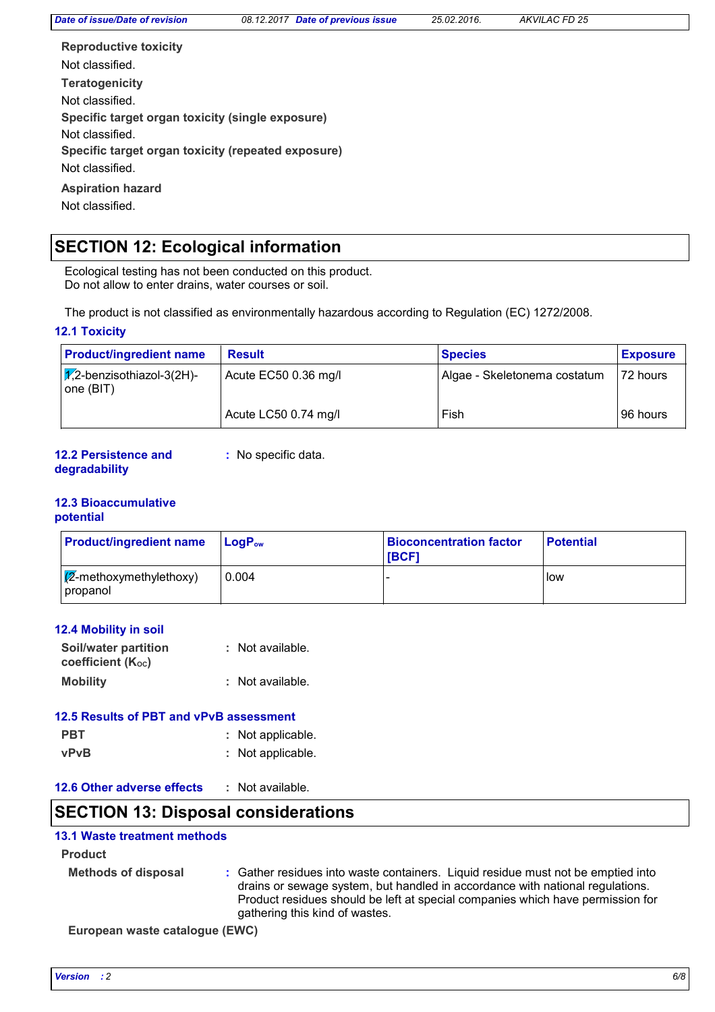**Teratogenicity Reproductive toxicity Specific target organ toxicity (single exposure) Specific target organ toxicity (repeated exposure) Aspiration hazard** Not classified. Not classified. Not classified. Not classified. Not classified.

# **SECTION 12: Ecological information**

Ecological testing has not been conducted on this product. Do not allow to enter drains, water courses or soil.

The product is not classified as environmentally hazardous according to Regulation (EC) 1272/2008.

#### **12.1 Toxicity**

| <b>Product/ingredient name</b>                           | <b>Result</b>        | <b>Species</b>               | <b>Exposure</b> |
|----------------------------------------------------------|----------------------|------------------------------|-----------------|
| $ \chi$ <sub>2</sub> -benzisothiazol-3(2H)-<br>one (BIT) | Acute EC50 0.36 mg/l | Algae - Skeletonema costatum | 172 hours       |
|                                                          | Acute LC50 0.74 mg/l | Fish                         | l 96 hours      |

#### **12.2 Persistence and degradability**

**:** No specific data.

### **12.3 Bioaccumulative**

#### **potential**

| <b>Product/ingredient name</b>               | $\mathsf{LocP}_\mathsf{ow}$ | <b>Bioconcentration factor</b><br><b>IBCF1</b> | <b>Potential</b> |
|----------------------------------------------|-----------------------------|------------------------------------------------|------------------|
| $\sqrt{Z}$ -methoxymethylethoxy)<br>propanol | 0.004                       |                                                | low              |

#### **12.4 Mobility in soil**

| <b>Soil/water partition</b> | : Not available.   |
|-----------------------------|--------------------|
| coefficient $(K_{oc})$      |                    |
| <b>Mobility</b>             | $:$ Not available. |

# **12.5 Results of PBT and vPvB assessment**

- **PBT :** Not applicable. **vPvB :** Not applicable.
- **12.6 Other adverse effects :**

### **SECTION 13: Disposal considerations**

#### **13.1 Waste treatment methods**

#### **Product**

| <b>Methods of disposal</b> | : Gather residues into waste containers. Liquid residue must not be emptied into |
|----------------------------|----------------------------------------------------------------------------------|
|                            | drains or sewage system, but handled in accordance with national regulations.    |
|                            | Product residues should be left at special companies which have permission for   |
|                            | gathering this kind of wastes.                                                   |

**European waste catalogue (EWC)**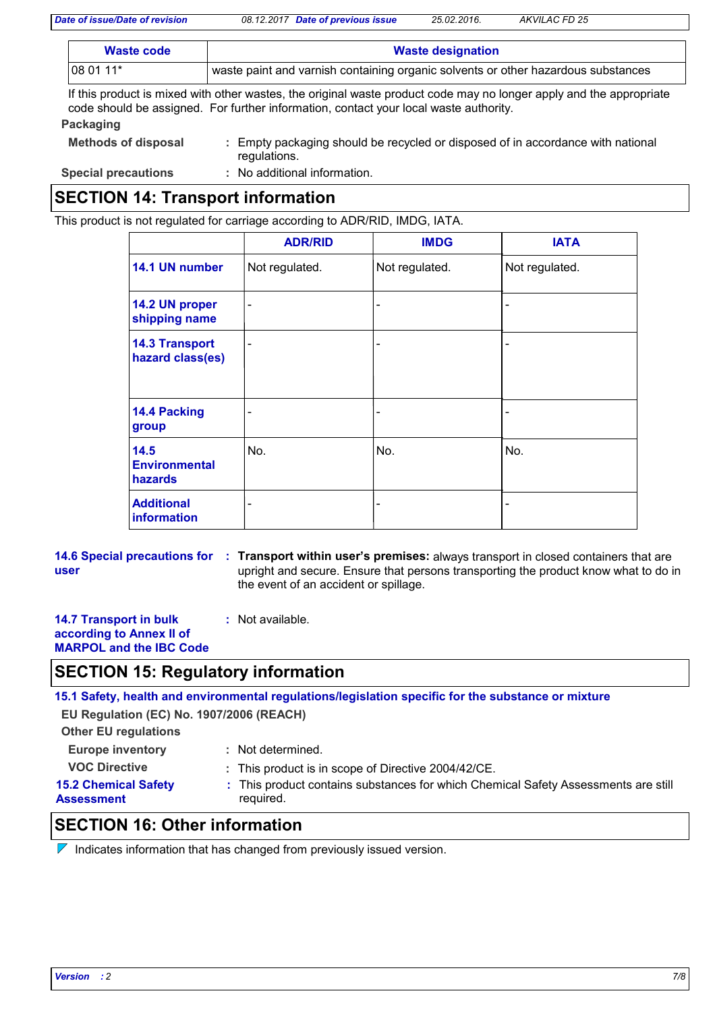*Date of issue/Date of revision 08.12.2017 Date of previous issue 25.02.2016. AKVILAC FD 25*

| Waste code | <b>Waste designation</b>                                                          |
|------------|-----------------------------------------------------------------------------------|
| 08 01 11*  | waste paint and varnish containing organic solvents or other hazardous substances |

If this product is mixed with other wastes, the original waste product code may no longer apply and the appropriate code should be assigned. For further information, contact your local waste authority.

| Packaging                  |                                                                                                 |
|----------------------------|-------------------------------------------------------------------------------------------------|
| <b>Methods of disposal</b> | : Empty packaging should be recycled or disposed of in accordance with national<br>regulations. |
| <b>Special precautions</b> | : No additional information.                                                                    |
|                            |                                                                                                 |

# **SECTION 14: Transport information**

This product is not regulated for carriage according to ADR/RID, IMDG, IATA.

|                                           | <b>ADR/RID</b> | <b>IMDG</b>                  | <b>IATA</b>    |
|-------------------------------------------|----------------|------------------------------|----------------|
| 14.1 UN number                            | Not regulated. | Not regulated.               | Not regulated. |
| 14.2 UN proper<br>shipping name           | -              | $\overline{\phantom{a}}$     |                |
| <b>14.3 Transport</b><br>hazard class(es) | -              | $\overline{\phantom{a}}$     |                |
| 14.4 Packing<br>group                     |                | $\overline{\phantom{0}}$     |                |
| 14.5<br><b>Environmental</b><br>hazards   | No.            | No.                          | No.            |
| <b>Additional</b><br><b>information</b>   |                | $\qquad \qquad \blacksquare$ |                |

**14.6 Special precautions for : Transport within user's premises: always transport in closed containers that are user** upright and secure. Ensure that persons transporting the product know what to do in the event of an accident or spillage.

**14.7 Transport in bulk according to Annex II of MARPOL and the IBC Code :** Not available.

# **SECTION 15: Regulatory information**

**15.1 Safety, health and environmental regulations/legislation specific for the substance or mixture**

**EU Regulation (EC) No. 1907/2006 (REACH)**

**Other EU regulations**

**Europe inventory :** Not determined.

# **15.2 Chemical Safety**

- **VOC Directive :** This product is in scope of Directive 2004/42/CE.
	-
- 
- 
- **Assessment**
- 
- This product contains substances for which Chemical Safety Assessments are still **:** required.

# **SECTION 16: Other information**

 $\nabla$  Indicates information that has changed from previously issued version.